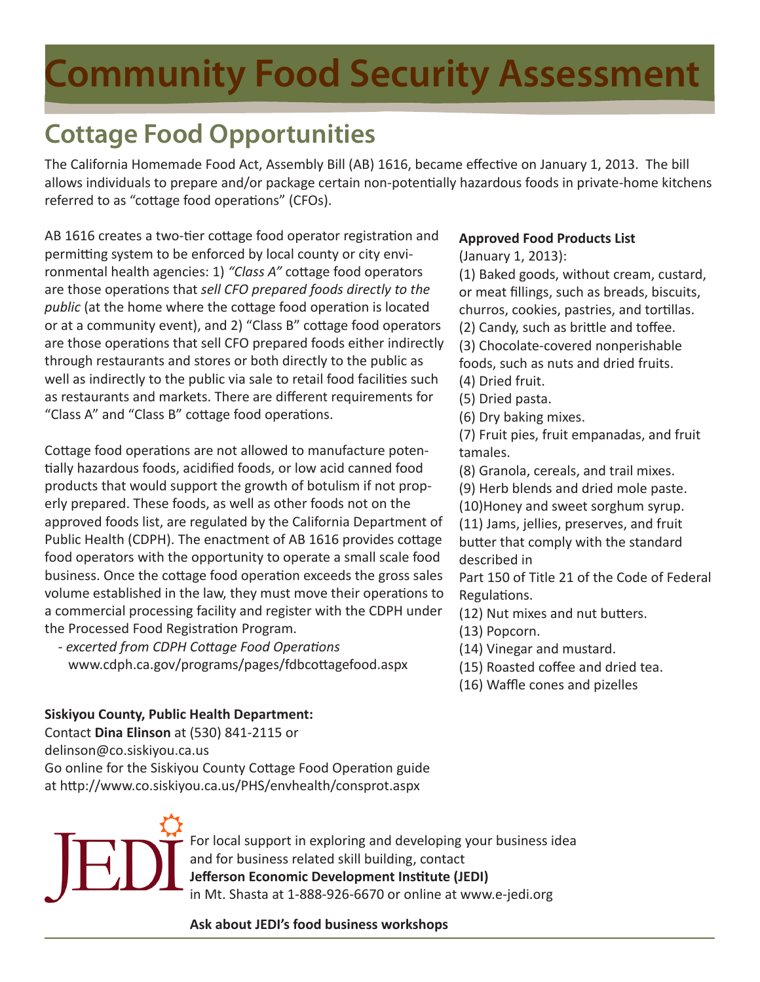## **Community Food Security Assessment**

### **Cottage Food Opportunities**

The California Homemade Food Act, Assembly Bill (AB) 1616, became effective on January 1, 2013. The bill allows individuals to prepare and/or package certain non-potentially hazardous foods in private-home kitchens referred to as "cottage food operations" (CFOs).

AB 1616 creates a two-tier cottage food operator registration and permitting system to be enforced by local county or city environmental health agencies: 1) *"Class A"* cottage food operators are those operations that *sell CFO prepared foods directly to the public* (at the home where the cottage food operation is located or at a community event), and 2) "Class B" cottage food operators are those operations that sell CFO prepared foods either indirectly through restaurants and stores or both directly to the public as well as indirectly to the public via sale to retail food facilities such as restaurants and markets. There are different requirements for "Class A" and "Class B" cottage food operations.

Cottage food operations are not allowed to manufacture potentially hazardous foods, acidified foods, or low acid canned food products that would support the growth of botulism if not properly prepared. These foods, as well as other foods not on the approved foods list, are regulated by the California Department of Public Health (CDPH). The enactment of AB 1616 provides cottage food operators with the opportunity to operate a small scale food business. Once the cottage food operation exceeds the gross sales volume established in the law, they must move their operations to a commercial processing facility and register with the CDPH under the Processed Food Registration Program.

 *- excerted from CDPH Cottage Food Operations*  www.cdph.ca.gov/programs/pages/fdbcottagefood.aspx

### **Approved Food Products List**

(January 1, 2013):

(1) Baked goods, without cream, custard, or meat fillings, such as breads, biscuits, churros, cookies, pastries, and tortillas. (2) Candy, such as brittle and toffee. (3) Chocolate-covered nonperishable foods, such as nuts and dried fruits. (4) Dried fruit.

- (5) Dried pasta.
- (6) Dry baking mixes.

(7) Fruit pies, fruit empanadas, and fruit tamales.

(8) Granola, cereals, and trail mixes.

(9) Herb blends and dried mole paste.

(10)Honey and sweet sorghum syrup.

(11) Jams, jellies, preserves, and fruit butter that comply with the standard described in

Part 150 of Title 21 of the Code of Federal Regulations.

(12) Nut mixes and nut butters.

- (13) Popcorn.
- (14) Vinegar and mustard.
- (15) Roasted coffee and dried tea.
- (16) Waffle cones and pizelles

### **Siskiyou County, Public Health Department:**

Contact **Dina Elinson** at (530) 841-2115 or delinson@co.siskiyou.ca.us Go online for the Siskiyou County Cottage Food Operation guide at http://www.co.siskiyou.ca.us/PHS/envhealth/consprot.aspx



For local support in exploring and developing your business idea and for business related skill building, contact **Jefferson Economic Development Institute (JEDI)** in Mt. Shasta at 1-888-926-6670 or online at www.e-jedi.org

**Ask about JEDI's food business workshops**